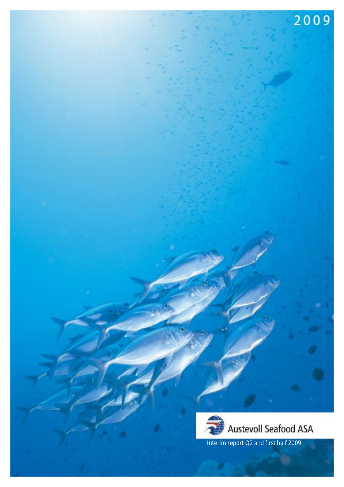

2009

Interim report Q2 and first half 2009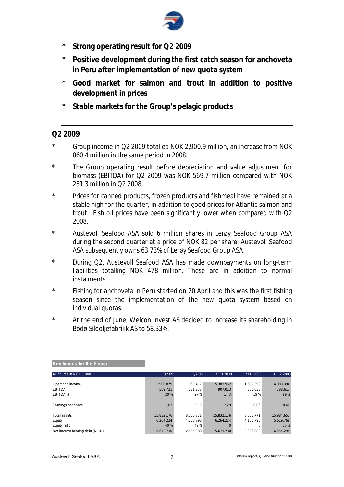

- **\* Strong operating result for Q2 2009**
- **\* Positive development during the first catch season for anchoveta in Peru after implementation of new quota system**
- **\* Good market for salmon and trout in addition to positive development in prices**
- **\* Stable markets for the Group's pelagic products**

## **Q2 2009**

- \* Group income in Q2 2009 totalled NOK 2,900.9 million, an increase from NOK 860.4 million in the same period in 2008.
- \* The Group operating result before depreciation and value adjustment for biomass (EBITDA) for Q2 2009 was NOK 569.7 million compared with NOK 231.3 million in Q2 2008.
- \* Prices for canned products, frozen products and fishmeal have remained at a stable high for the quarter, in addition to good prices for Atlantic salmon and trout. Fish oil prices have been significantly lower when compared with Q2 2008.
- \* Austevoll Seafood ASA sold 6 million shares in Lerøy Seafood Group ASA during the second quarter at a price of NOK 82 per share. Austevoll Seafood ASA subsequently owns 63.73% of Lerøy Seafood Group ASA.
- \* During Q2, Austevoll Seafood ASA has made downpayments on long-term liabilities totalling NOK 478 million. These are in addition to normal instalments.
- \* Fishing for anchoveta in Peru started on 20 April and this was the first fishing season since the implementation of the new quota system based on individual quotas.
- \* At the end of June, Welcon Invest AS decided to increase its shareholding in Bodø Sildoljefabrikk AS to 58.33%.

| Key figures for the Group        |                   |                               |                 |                 |              |
|----------------------------------|-------------------|-------------------------------|-----------------|-----------------|--------------|
| All figures in NOK 1.000         | Q <sub>2</sub> 09 | Q <sub>2</sub> 0 <sub>8</sub> | <b>YTD 2009</b> | <b>YTD 2008</b> | 31.12.2008   |
|                                  |                   |                               |                 |                 |              |
| Operating income                 | 2.900.879         | 860.417                       | 5.383.962       | 1.602.393       | 4.088.394    |
| <b>EBITDA</b>                    | 569.721           | 231.273                       | 907.013         | 301.035         | 788.617      |
| EBITDA %                         | 20 %              | 27 %                          | 17 %            | 19%             | 19%          |
|                                  |                   |                               |                 |                 |              |
| Earnings per share               | 1,83              | 0,13                          | 2,29            | 0.06            | 0,66         |
|                                  |                   |                               |                 |                 |              |
| Total assets                     | 15.832.176        | 8.550.771                     | 15.832.176      | 8.550.771       | 15.984.653   |
| Equity                           | 6.264.224         | 4.150.790                     | 6.264.224       | 4.150.790       | 5.619.768    |
| Equity ratio                     | 40 %              | 49 %                          |                 | 0               | 35 %         |
| Net interest bearing debt (NIBD) | $-5.673.730$      | $-2.836.883$                  | $-5.673.730$    | $-2.836.883$    | $-6.554.294$ |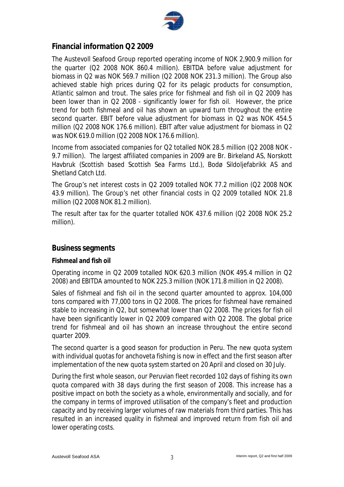

## **Financial information Q2 2009**

The Austevoll Seafood Group reported operating income of NOK 2,900.9 million for the quarter (Q2 2008 NOK 860.4 million). EBITDA before value adjustment for biomass in Q2 was NOK 569.7 million (Q2 2008 NOK 231.3 million). The Group also achieved stable high prices during Q2 for its pelagic products for consumption, Atlantic salmon and trout. The sales price for fishmeal and fish oil in Q2 2009 has been lower than in Q2 2008 - significantly lower for fish oil. However, the price trend for both fishmeal and oil has shown an upward turn throughout the entire second quarter. EBIT before value adjustment for biomass in Q2 was NOK 454.5 million (Q2 2008 NOK 176.6 million). EBIT after value adjustment for biomass in Q2 was NOK 619.0 million (Q2 2008 NOK 176.6 million).

Income from associated companies for Q2 totalled NOK 28.5 million (Q2 2008 NOK - 9.7 million). The largest affiliated companies in 2009 are Br. Birkeland AS, Norskott Havbruk (Scottish based Scottish Sea Farms Ltd.), Bodø Sildoljefabrikk AS and Shetland Catch Ltd.

The Group's net interest costs in Q2 2009 totalled NOK 77.2 million (Q2 2008 NOK 43.9 million). The Group's net other financial costs in Q2 2009 totalled NOK 21.8 million (Q2 2008 NOK 81.2 million).

The result after tax for the quarter totalled NOK 437.6 million (Q2 2008 NOK 25.2 million).

### **Business segments**

**Fishmeal and fish oil** 

Operating income in Q2 2009 totalled NOK 620.3 million (NOK 495.4 million in Q2 2008) and EBITDA amounted to NOK 225.3 million (NOK 171.8 million in Q2 2008).

Sales of fishmeal and fish oil in the second quarter amounted to approx. 104,000 tons compared with 77,000 tons in Q2 2008. The prices for fishmeal have remained stable to increasing in Q2, but somewhat lower than Q2 2008. The prices for fish oil have been significantly lower in Q2 2009 compared with Q2 2008. The global price trend for fishmeal and oil has shown an increase throughout the entire second quarter 2009.

The second quarter is a good season for production in Peru. The new quota system with individual quotas for anchoveta fishing is now in effect and the first season after implementation of the new quota system started on 20 April and closed on 30 July.

During the first whole season, our Peruvian fleet recorded 102 days of fishing its own quota compared with 38 days during the first season of 2008. This increase has a positive impact on both the society as a whole, environmentally and socially, and for the company in terms of improved utilisation of the company's fleet and production capacity and by receiving larger volumes of raw materials from third parties. This has resulted in an increased quality in fishmeal and improved return from fish oil and lower operating costs.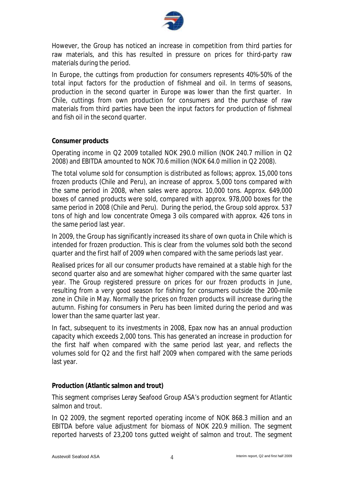

However, the Group has noticed an increase in competition from third parties for raw materials, and this has resulted in pressure on prices for third-party raw materials during the period.

In Europe, the cuttings from production for consumers represents 40%-50% of the total input factors for the production of fishmeal and oil. In terms of seasons, production in the second quarter in Europe was lower than the first quarter. In Chile, cuttings from own production for consumers and the purchase of raw materials from third parties have been the input factors for production of fishmeal and fish oil in the second quarter.

#### **Consumer products**

Operating income in Q2 2009 totalled NOK 290.0 million (NOK 240.7 million in Q2 2008) and EBITDA amounted to NOK 70.6 million (NOK 64.0 million in Q2 2008).

The total volume sold for consumption is distributed as follows; approx. 15,000 tons frozen products (Chile and Peru), an increase of approx. 5,000 tons compared with the same period in 2008, when sales were approx. 10,000 tons. Approx. 649,000 boxes of canned products were sold, compared with approx. 978,000 boxes for the same period in 2008 (Chile and Peru). During the period, the Group sold approx. 537 tons of high and low concentrate Omega 3 oils compared with approx. 426 tons in the same period last year.

In 2009, the Group has significantly increased its share of own quota in Chile which is intended for frozen production. This is clear from the volumes sold both the second quarter and the first half of 2009 when compared with the same periods last year.

Realised prices for all our consumer products have remained at a stable high for the second quarter also and are somewhat higher compared with the same quarter last year. The Group registered pressure on prices for our frozen products in June, resulting from a very good season for fishing for consumers outside the 200-mile zone in Chile in May. Normally the prices on frozen products will increase during the autumn. Fishing for consumers in Peru has been limited during the period and was lower than the same quarter last year.

In fact, subsequent to its investments in 2008, Epax now has an annual production capacity which exceeds 2,000 tons. This has generated an increase in production for the first half when compared with the same period last year, and reflects the volumes sold for Q2 and the first half 2009 when compared with the same periods last year.

#### **Production (Atlantic salmon and trout)**

This segment comprises Lerøy Seafood Group ASA's production segment for Atlantic salmon and trout.

In Q2 2009, the segment reported operating income of NOK 868.3 million and an EBITDA before value adjustment for biomass of NOK 220.9 million. The segment reported harvests of 23,200 tons gutted weight of salmon and trout. The segment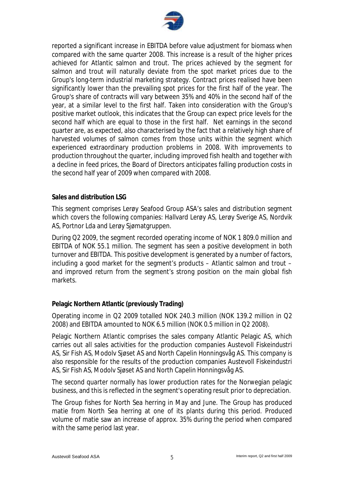

reported a significant increase in EBITDA before value adjustment for biomass when compared with the same quarter 2008. This increase is a result of the higher prices achieved for Atlantic salmon and trout. The prices achieved by the segment for salmon and trout will naturally deviate from the spot market prices due to the Group's long-term industrial marketing strategy. Contract prices realised have been significantly lower than the prevailing spot prices for the first half of the year. The Group's share of contracts will vary between 35% and 40% in the second half of the year, at a similar level to the first half. Taken into consideration with the Group's positive market outlook, this indicates that the Group can expect price levels for the second half which are equal to those in the first half. Net earnings in the second quarter are, as expected, also characterised by the fact that a relatively high share of harvested volumes of salmon comes from those units within the segment which experienced extraordinary production problems in 2008. With improvements to production throughout the quarter, including improved fish health and together with a decline in feed prices, the Board of Directors anticipates falling production costs in the second half year of 2009 when compared with 2008.

#### **Sales and distribution LSG**

This segment comprises Lerøy Seafood Group ASA's sales and distribution segment which covers the following companies: Hallvard Lerøy AS, Lerøy Sverige AS, Nordvik AS, Portnor Lda and Lerøy Sjømatgruppen.

During Q2 2009, the segment recorded operating income of NOK 1 809.0 million and EBITDA of NOK 55.1 million. The segment has seen a positive development in both turnover and EBITDA. This positive development is generated by a number of factors, including a good market for the segment's products – Atlantic salmon and trout – and improved return from the segment's strong position on the main global fish markets.

#### **Pelagic Northern Atlantic (previously Trading)**

Operating income in Q2 2009 totalled NOK 240.3 million (NOK 139.2 million in Q2 2008) and EBITDA amounted to NOK 6.5 million (NOK 0.5 million in Q2 2008).

Pelagic Northern Atlantic comprises the sales company Atlantic Pelagic AS, which carries out all sales activities for the production companies Austevoll Fiskeindustri AS, Sir Fish AS, Modolv Sjøset AS and North Capelin Honningsvåg AS. This company is also responsible for the results of the production companies Austevoll Fiskeindustri AS, Sir Fish AS, Modolv Sjøset AS and North Capelin Honningsvåg AS.

The second quarter normally has lower production rates for the Norwegian pelagic business, and this is reflected in the segment's operating result prior to depreciation.

The Group fishes for North Sea herring in May and June. The Group has produced matie from North Sea herring at one of its plants during this period. Produced volume of matie saw an increase of approx. 35% during the period when compared with the same period last year.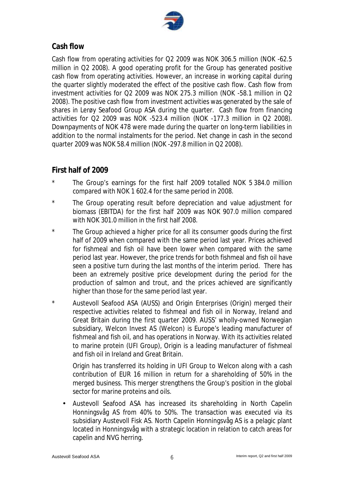

## **Cash flow**

Cash flow from operating activities for Q2 2009 was NOK 306.5 million (NOK -62.5 million in Q2 2008). A good operating profit for the Group has generated positive cash flow from operating activities. However, an increase in working capital during the quarter slightly moderated the effect of the positive cash flow. Cash flow from investment activities for Q2 2009 was NOK 275.3 million (NOK -58.1 million in Q2 2008). The positive cash flow from investment activities was generated by the sale of shares in Lerøy Seafood Group ASA during the quarter. Cash flow from financing activities for Q2 2009 was NOK -523.4 million (NOK -177.3 million in Q2 2008). Downpayments of NOK 478 were made during the quarter on long-term liabilities in addition to the normal instalments for the period. Net change in cash in the second quarter 2009 was NOK 58.4 million (NOK -297.8 million in Q2 2008).

## **First half of 2009**

- \* The Group's earnings for the first half 2009 totalled NOK 5 384.0 million compared with NOK 1 602.4 for the same period in 2008.
- \* The Group operating result before depreciation and value adjustment for biomass (EBITDA) for the first half 2009 was NOK 907.0 million compared with NOK 301.0 million in the first half 2008.
- The Group achieved a higher price for all its consumer goods during the first half of 2009 when compared with the same period last year. Prices achieved for fishmeal and fish oil have been lower when compared with the same period last year. However, the price trends for both fishmeal and fish oil have seen a positive turn during the last months of the interim period. There has been an extremely positive price development during the period for the production of salmon and trout, and the prices achieved are significantly higher than those for the same period last year.
- \* Austevoll Seafood ASA (AUSS) and Origin Enterprises (Origin) merged their respective activities related to fishmeal and fish oil in Norway, Ireland and Great Britain during the first quarter 2009. AUSS' wholly-owned Norwegian subsidiary, Welcon Invest AS (Welcon) is Europe's leading manufacturer of fishmeal and fish oil, and has operations in Norway. With its activities related to marine protein (UFI Group), Origin is a leading manufacturer of fishmeal and fish oil in Ireland and Great Britain.

Origin has transferred its holding in UFI Group to Welcon along with a cash contribution of EUR 16 million in return for a shareholding of 50% in the merged business. This merger strengthens the Group's position in the global sector for marine proteins and oils.

• Austevoll Seafood ASA has increased its shareholding in North Capelin Honningsvåg AS from 40% to 50%. The transaction was executed via its subsidiary Austevoll Fisk AS. North Capelin Honningsvåg AS is a pelagic plant located in Honningsvåg with a strategic location in relation to catch areas for capelin and NVG herring.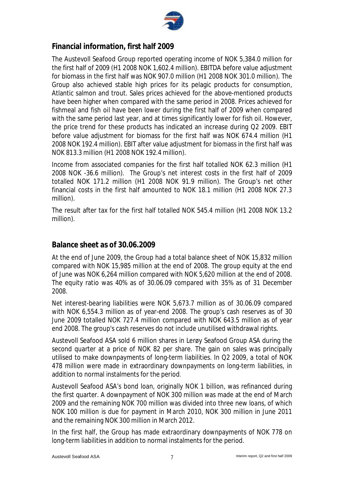

## **Financial information, first half 2009**

The Austevoll Seafood Group reported operating income of NOK 5,384.0 million for the first half of 2009 (H1 2008 NOK 1,602.4 million). EBITDA before value adjustment for biomass in the first half was NOK 907.0 million (H1 2008 NOK 301.0 million). The Group also achieved stable high prices for its pelagic products for consumption, Atlantic salmon and trout. Sales prices achieved for the above-mentioned products have been higher when compared with the same period in 2008. Prices achieved for fishmeal and fish oil have been lower during the first half of 2009 when compared with the same period last year, and at times significantly lower for fish oil. However, the price trend for these products has indicated an increase during Q2 2009. EBIT before value adjustment for biomass for the first half was NOK 674.4 million (H1 2008 NOK 192.4 million). EBIT after value adjustment for biomass in the first half was NOK 813.3 million (H1 2008 NOK 192.4 million).

Income from associated companies for the first half totalled NOK 62.3 million (H1 2008 NOK -36.6 million). The Group's net interest costs in the first half of 2009 totalled NOK 171.2 million (H1 2008 NOK 91.9 million). The Group's net other financial costs in the first half amounted to NOK 18.1 million (H1 2008 NOK 27.3 million).

The result after tax for the first half totalled NOK 545.4 million (H1 2008 NOK 13.2 million).

## **Balance sheet as of 30.06.2009**

At the end of June 2009, the Group had a total balance sheet of NOK 15,832 million compared with NOK 15,985 million at the end of 2008. The group equity at the end of June was NOK 6,264 million compared with NOK 5,620 million at the end of 2008. The equity ratio was 40% as of 30.06.09 compared with 35% as of 31 December 2008.

Net interest-bearing liabilities were NOK 5,673.7 million as of 30.06.09 compared with NOK 6,554.3 million as of year-end 2008. The group's cash reserves as of 30 June 2009 totalled NOK 727.4 million compared with NOK 643.5 million as of year end 2008. The group's cash reserves do not include unutilised withdrawal rights.

Austevoll Seafood ASA sold 6 million shares in Lerøy Seafood Group ASA during the second quarter at a price of NOK 82 per share. The gain on sales was principally utilised to make downpayments of long-term liabilities. In Q2 2009, a total of NOK 478 million were made in extraordinary downpayments on long-term liabilities, in addition to normal instalments for the period.

Austevoll Seafood ASA's bond loan, originally NOK 1 billion, was refinanced during the first quarter. A downpayment of NOK 300 million was made at the end of March 2009 and the remaining NOK 700 million was divided into three new loans, of which NOK 100 million is due for payment in March 2010, NOK 300 million in June 2011 and the remaining NOK 300 million in March 2012.

In the first half, the Group has made extraordinary downpayments of NOK 778 on long-term liabilities in addition to normal instalments for the period.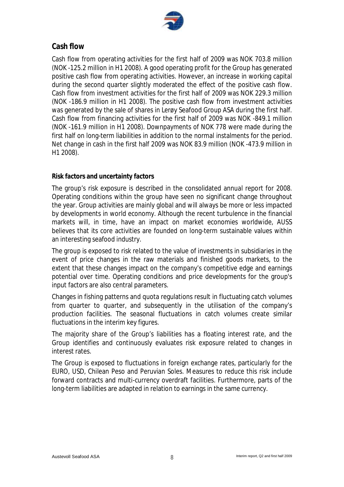

## **Cash flow**

Cash flow from operating activities for the first half of 2009 was NOK 703.8 million (NOK -125.2 million in H1 2008). A good operating profit for the Group has generated positive cash flow from operating activities. However, an increase in working capital during the second quarter slightly moderated the effect of the positive cash flow. Cash flow from investment activities for the first half of 2009 was NOK 229.3 million (NOK -186.9 million in H1 2008). The positive cash flow from investment activities was generated by the sale of shares in Lerøy Seafood Group ASA during the first half. Cash flow from financing activities for the first half of 2009 was NOK -849.1 million (NOK -161.9 million in H1 2008). Downpayments of NOK 778 were made during the first half on long-term liabilities in addition to the normal instalments for the period. Net change in cash in the first half 2009 was NOK 83.9 million (NOK -473.9 million in H1 2008).

### **Risk factors and uncertainty factors**

The group's risk exposure is described in the consolidated annual report for 2008. Operating conditions within the group have seen no significant change throughout the year. Group activities are mainly global and will always be more or less impacted by developments in world economy. Although the recent turbulence in the financial markets will, in time, have an impact on market economies worldwide, AUSS believes that its core activities are founded on long-term sustainable values within an interesting seafood industry.

The group is exposed to risk related to the value of investments in subsidiaries in the event of price changes in the raw materials and finished goods markets, to the extent that these changes impact on the company's competitive edge and earnings potential over time. Operating conditions and price developments for the group's input factors are also central parameters.

Changes in fishing patterns and quota regulations result in fluctuating catch volumes from quarter to quarter, and subsequently in the utilisation of the company's production facilities. The seasonal fluctuations in catch volumes create similar fluctuations in the interim key figures.

The majority share of the Group's liabilities has a floating interest rate, and the Group identifies and continuously evaluates risk exposure related to changes in interest rates.

The Group is exposed to fluctuations in foreign exchange rates, particularly for the EURO, USD, Chilean Peso and Peruvian Soles. Measures to reduce this risk include forward contracts and multi-currency overdraft facilities. Furthermore, parts of the long-term liabilities are adapted in relation to earnings in the same currency.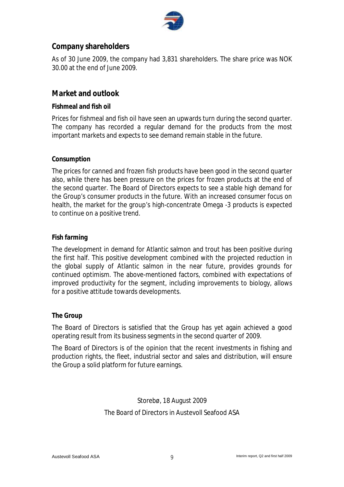

## **Company shareholders**

As of 30 June 2009, the company had 3,831 shareholders. The share price was NOK 30.00 at the end of June 2009.

## **Market and outlook**

#### **Fishmeal and fish oil**

Prices for fishmeal and fish oil have seen an upwards turn during the second quarter. The company has recorded a regular demand for the products from the most important markets and expects to see demand remain stable in the future.

#### **Consumption**

The prices for canned and frozen fish products have been good in the second quarter also, while there has been pressure on the prices for frozen products at the end of the second quarter. The Board of Directors expects to see a stable high demand for the Group's consumer products in the future. With an increased consumer focus on health, the market for the group's high-concentrate Omega -3 products is expected to continue on a positive trend.

#### **Fish farming**

The development in demand for Atlantic salmon and trout has been positive during the first half. This positive development combined with the projected reduction in the global supply of Atlantic salmon in the near future, provides grounds for continued optimism. The above-mentioned factors, combined with expectations of improved productivity for the segment, including improvements to biology, allows for a positive attitude towards developments.

#### **The Group**

The Board of Directors is satisfied that the Group has yet again achieved a good operating result from its business segments in the second quarter of 2009.

The Board of Directors is of the opinion that the recent investments in fishing and production rights, the fleet, industrial sector and sales and distribution, will ensure the Group a solid platform for future earnings.

## Storebø, 18 August 2009 The Board of Directors in Austevoll Seafood ASA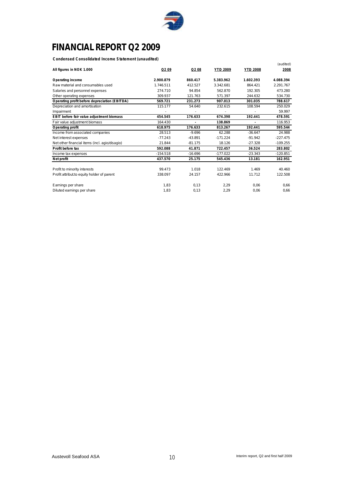

# **FINANCIAL REPORT Q2 2009**

**Condensed Consolidated Income Statement (unaudited)**

| condensed consolidated medine Statement (diladdited) |                   |                   |                 |                 | (audited)  |
|------------------------------------------------------|-------------------|-------------------|-----------------|-----------------|------------|
| All figures in NOK 1.000                             | Q <sub>2</sub> 09 | Q <sub>2</sub> 08 | <b>YTD 2009</b> | <b>YTD 2008</b> | 2008       |
| Operating income                                     | 2.900.879         | 860.417           | 5.383.962       | 1.602.393       | 4.088.394  |
| Raw material and consumables used                    | 1.746.511         | 412.527           | 3.342.681       | 864.421         | 2.291.767  |
| Salaries and personnel expenses                      | 274.710           | 94.854            | 562.870         | 192.305         | 473.280    |
| Other operating expenses                             | 309.937           | 121.763           | 571.397         | 244.632         | 534.730    |
| Operating profit before depreciation (EBITDA)        | 569.721           | 231.273           | 907.013         | 301.035         | 788.617    |
| Depreciation and amortisation                        | 115.177           | 54.640            | 232.615         | 108.594         | 250.029    |
| Impairment                                           |                   |                   |                 |                 | 59.997     |
| EBIT before fair value adjustment biomass            | 454.545           | 176.633           | 674.398         | 192.441         | 478.591    |
| Fair value adjustment biomass                        | 164.430           |                   | 138.869         |                 | 116.953    |
| Operating profit                                     | 618.975           | 176.633           | 813.267         | 192.441         | 595.544    |
| Income from associated companies                     | 28.513            | $-9.696$          | 62.288          | $-36.647$       | 24.988     |
| Net interest expenses                                | $-77.243$         | $-43.891$         | $-171.224$      | $-91.942$       | $-227.475$ |
| Net other financial items (incl. agio/disagio)       | 21.844            | $-81.175$         | 18.126          | $-27.328$       | $-109.255$ |
| Profit before tax                                    | 592.088           | 41.871            | 722.457         | 36.524          | 283.802    |
| Income tax expenses                                  | $-154.518$        | $-16.696$         | $-177.022$      | $-23.343$       | $-120.851$ |
| Net profit                                           | 437.570           | 25.175            | 545.436         | 13.181          | 162.951    |
|                                                      |                   |                   |                 |                 |            |
| Profit to minority interests                         | 99.473            | 1.018             | 122.469         | 1.469           | 40.460     |
| Profit attribut to equity holder of parent           | 338.097           | 24.157            | 422.966         | 11.712          | 122.508    |
| Earnings per share                                   | 1.83              | 0.13              | 2,29            | 0.06            | 0.66       |
| Diluted earnings per share                           | 1,83              | 0,13              | 2,29            | 0,06            | 0,66       |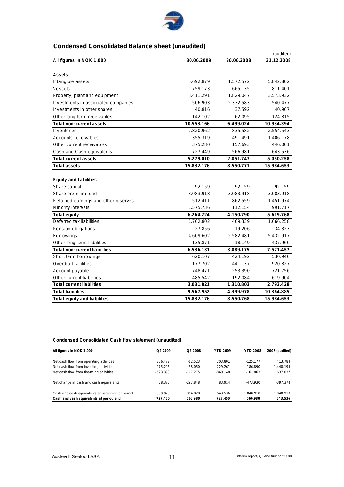

## **Condensed Consolidated Balance sheet (unaudited)**

|                                      |            |            | (audited)  |
|--------------------------------------|------------|------------|------------|
| All figures in NOK 1.000             | 30.06.2009 | 30.06.2008 | 31.12.2008 |
| Assets                               |            |            |            |
| Intangible assets                    | 5.692.879  | 1.572.572  | 5.842.802  |
| Vessels                              | 759.173    | 665.135    | 811.401    |
| Property, plant and equipment        | 3.411.291  | 1.829.047  | 3.573.932  |
| Investments in associated companies  | 506.903    | 2.332.583  | 540.477    |
| Investments in other shares          | 40.816     | 37.592     | 40.967     |
| Other long term receivables          | 142.102    | 62.095     | 124.815    |
| Total non-current assets             | 10.553.166 | 6.499.024  | 10.934.394 |
| Inventories                          | 2.820.962  | 835.582    | 2.554.543  |
| Accounts receivables                 | 1.355.319  | 491.491    | 1.406.178  |
| Other current receivables            | 375.280    | 157.693    | 446.001    |
| Cash and Cash equivalents            | 727.449    | 566.981    | 643.536    |
| Total current assets                 | 5.279.010  | 2.051.747  | 5.050.258  |
| <b>Total assets</b>                  | 15.832.176 | 8.550.771  | 15.984.653 |
|                                      |            |            |            |
| Equity and liabilities               |            |            |            |
| Share capital                        | 92.159     | 92.159     | 92.159     |
| Share premium fund                   | 3.083.918  | 3.083.918  | 3.083.918  |
| Retained earnings and other reserves | 1.512.411  | 862.559    | 1.451.974  |
| Minority interests                   | 1.575.736  | 112.154    | 991.717    |
| Total equity                         | 6.264.224  | 4.150.790  | 5.619.768  |
| Deferred tax liabilities             | 1.762.802  | 469.339    | 1.666.258  |
| Pension obligations                  | 27.856     | 19.206     | 34.323     |
| Borrowings                           | 4.609.602  | 2.582.481  | 5.432.917  |
| Other long-term liabilities          | 135.871    | 18.149     | 437.960    |
| Total non-current liabilities        | 6.536.131  | 3.089.175  | 7.571.457  |
| Short term borrowings                | 620.107    | 424.192    | 530.940    |
| Overdraft facilities                 | 1.177.702  | 441.137    | 920.827    |
| Account payable                      | 748.471    | 253.390    | 721.756    |
| Other current liabilities            | 485.542    | 192.084    | 619.904    |
| <b>Total current liabilities</b>     | 3.031.821  | 1.310.803  | 2.793.428  |
| <b>Total liabilities</b>             | 9.567.952  | 4.399.978  | 10.364.885 |
| Total equity and liabilities         | 15.832.176 | 8.550.768  | 15.984.653 |

#### **Condensed Consolidated Cash flow statement (unaudited)**

| All figures in NOK 1.000                         | Q2 2009    | Q2 2008    | <b>YTD 2009</b> | <b>YTD 2008</b> | 2008 (audited) |
|--------------------------------------------------|------------|------------|-----------------|-----------------|----------------|
|                                                  |            |            |                 |                 |                |
| Net cash flow from operating activities          | 306.472    | $-62.523$  | 703.801         | $-125.177$      | 413.783        |
| Net cash flow from investing activities          | 275.296    | $-58.050$  | 229.261         | $-186.890$      | $-1.448.194$   |
| Net cash flow from financing activities          | $-523.393$ | $-177.275$ | $-849.148$      | $-161.863$      | 637.037        |
| Net change in cash and cash equivalents          | 58.375     | $-297.848$ | 83.914          | $-473.930$      | $-397.374$     |
| Cash and cash equivalents at beginning of period | 669.075    | 864.828    | 643.536         | 1.040.910       | 1.040.910      |
| Cash and cash equivalents at period end          | 727.450    | 566.980    | 727.450         | 566.980         | 643.536        |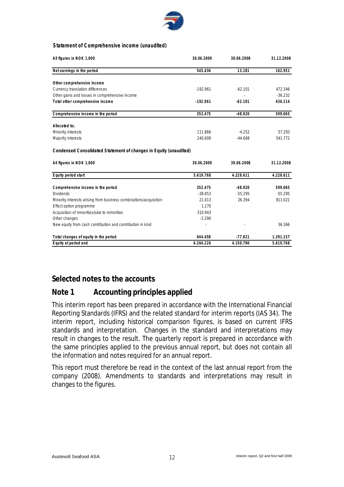

#### **Statement of Comprehensive income (unaudited)**

| All figures in NOK 1.000                                          | 30.06.2009 | 30.06.2008 | 31.12.2008 |
|-------------------------------------------------------------------|------------|------------|------------|
| Net earnings in the period                                        | 545.436    | 13.181     | 162.951    |
| Other comprehensive income                                        |            |            |            |
| Currency translation differences                                  | $-192.961$ | $-62.101$  | 472.346    |
| Other gains and losses in comprehensive income                    |            |            | $-36.232$  |
| Total other comprehensive income                                  | $-192.961$ | $-62.101$  | 436.114    |
| Comprehensive income in the period                                | 352.475    | $-48.920$  | 599.065    |
| Allocated to:                                                     |            |            |            |
| Minority interests                                                | 111.866    | $-4.252$   | 57.293     |
| Majority interests                                                | 240.608    | $-44.668$  | 541.772    |
| Condensed Consolidated Statement of changes in Equity (unaudited) |            |            |            |
| All figures in NOK 1.000                                          | 30.06.2009 | 30.06.2008 | 31.12.2008 |
| Equity period start                                               | 5.619.768  | 4.228.611  | 4.228.611  |
| Comprehensive income in the period                                | 352.475    | $-48.920$  | 599.065    |
| <b>Dividends</b>                                                  | $-38.853$  | $-55.295$  | $-55.295$  |
| Minority interests arising from business combinations/acquisition | 21.013     | 26.394     | 811.021    |
| Effect option programme                                           | 1.170      |            |            |
| Acquisition of minorities/sale to minorities                      | 310.943    |            |            |
| Other changes                                                     | $-2.290$   |            |            |
| New equity from cash contribution and contribution in kind        |            |            | 36.366     |
| Total changes of equity in the period                             | 644.458    | $-77.821$  | 1.391.157  |
| Equity at period end                                              | 6.264.226  | 4.150.790  | 5.619.768  |

## **Selected notes to the accounts**

### **Note 1 Accounting principles applied**

This interim report has been prepared in accordance with the International Financial Reporting Standards (IFRS) and the related standard for interim reports (IAS 34). The interim report, including historical comparison figures, is based on current IFRS standards and interpretation. Changes in the standard and interpretations may result in changes to the result. The quarterly report is prepared in accordance with the same principles applied to the previous annual report, but does not contain all the information and notes required for an annual report.

This report must therefore be read in the context of the last annual report from the company (2008). Amendments to standards and interpretations may result in changes to the figures.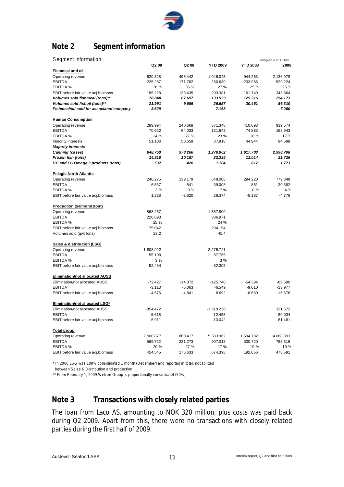

# **Note 2 Segment information**

| Segment information                      |            |           |                 |                 | (all figures in NOK 1.000) |
|------------------------------------------|------------|-----------|-----------------|-----------------|----------------------------|
|                                          | Q2 09      | Q2 08     | <b>YTD 2009</b> | <b>YTD 2008</b> | 2008                       |
| <b>Fishmeal and oil</b>                  |            |           |                 |                 |                            |
| Operating revenue                        | 620.328    | 495.442   | 1.046.045       | 944.263         | 2.136.979                  |
| <b>EBITDA</b>                            | 225.287    | 171.762   | 280.630         | 233.986         | 529.224                    |
| EBITDA %                                 | 36 %       | 35 %      | 27 %            | 25 %            | 25%                        |
| EBIT before fair value adj.biomass       | 185.228    | 133.435   | 203.381         | 161.749         | 343.864                    |
| Volumes sold fishmeal (tons)**           | 78.840     | 67.697    | 133.539         | 125.316         | 254.173                    |
| Volumes sold fishoil (tons)**            | 21.991     | 9.696     | 26.657          | 30.461          | 56.310                     |
| Fishmeal/oil sold for associated company | 3.629      |           | 7.163           |                 | 7.260                      |
| <b>Human Consumption</b>                 |            |           |                 |                 |                            |
| Operating revenue                        | 289.994    | 240.668   | 571.348         | 410.693         | 939.574                    |
| <b>EBITDA</b>                            | 70.622     | 64.033    | 131.643         | 74.883          | 162.943                    |
| EBITDA %                                 | 24 %       | 27 %      | 23 %            | 18%             | 17%                        |
| Minority interests                       | 51.100     | 50.659    | 87.918          | 44.944          | 94.598                     |
| <b>Majority interests</b>                |            |           |                 |                 |                            |
| Canning (cases)                          | 648.750    | 978.266   | 1.270.962       | 1.617.703       | 2.998.708                  |
| Frozen fish (tons)                       | 14.810     | 10.187    | 22.335          | 11.014          | 21.726                     |
| HC and LC Omega 3 products (tons)        | 537        | 426       | 1.104           | 817             | 1.773                      |
|                                          |            |           |                 |                 |                            |
| <b>Pelagic North Atlantic</b>            |            |           |                 |                 |                            |
| Operating revenue                        | 240.275    | 139.179   | 548.008         | 294.220         | 779.848                    |
| <b>EBITDA</b>                            | 6.537      | 541       | 39.008          | 861             | 30.392                     |
| EBITDA %                                 | 3%         | 0%        | 7%              | 0%              | 4%                         |
| EBIT before fair value adj.biomass       | 1.228      | $-2.620$  | 28.374          | $-5.187$        | $-4.776$                   |
| <b>Production (salmon&amp;trout)</b>     |            |           |                 |                 |                            |
| Operating revenue                        | 868.257    |           | 1.587.800       |                 |                            |
| <b>EBITDA</b>                            | 220.898    |           | 386.971         |                 |                            |
| EBITDA %                                 | 25 %       |           | 24 %            |                 |                            |
| EBIT before fair value adj.biomass       | 175.042    |           | 294.154         |                 |                            |
| Volumes sold (gwt tons)                  | 23,2       |           | 45,4            |                 |                            |
|                                          |            |           |                 |                 |                            |
| <b>Sales &amp; distribution (LSG)</b>    |            |           |                 |                 |                            |
| Operating revenue                        | 1.808.922  |           | 3.275.721       |                 |                            |
| <b>EBITDA</b>                            | 55.109     |           | 87.765          |                 |                            |
| EBITDA %                                 | 3%         |           | 3%              |                 |                            |
| EBIT before fair value adj.biomass       | 52.434     |           | 82.305          |                 |                            |
| <b>Elimination/not allocated AUSS</b>    |            |           |                 |                 |                            |
| Elimination/not allocated AUSS           | $-72.427$  | $-14.872$ | $-125.740$      | $-54.394$       | $-89.580$                  |
| <b>EBITDA</b>                            | $-3.113$   | $-5.063$  | $-6.549$        | $-9.010$        | $-13.977$                  |
| EBIT before fair value adj.biomass       | $-4.576$   | $-4.841$  | $-8.692$        | $-8.650$        | $-16.576$                  |
|                                          |            |           |                 |                 |                            |
| Elimination/not allocated LSG*           |            |           |                 |                 |                            |
| Elimination/not allocated AUSS           | $-854.472$ |           | $-1.519.220$    |                 | 321.572                    |
| <b>EBITDA</b>                            | $-5.618$   |           | $-12.455$       |                 | 80.034                     |
| EBIT before fair value adj.biomass       | $-5.911$   |           | $-13.042$       |                 | 61.481                     |
| <b>Total group</b>                       |            |           |                 |                 |                            |
| Operating revenue                        | 2.900.877  | 860.417   | 5.383.962       | 1.594.782       | 4.088.393                  |
| <b>EBITDA</b>                            | 569.722    | 231.273   | 907.013         | 300.720         | 788.616                    |
| EBITDA %                                 | 20 %       | 27 %      | 17 %            | 19 %            | 19%                        |
| EBIT before fair value adj.biomass       | 454.545    | 176.633   | 674.398         | 192.856         | 478.591                    |

\* In 2008 LSG was 100% consolidated 1 month (December) and reported in total, not splitted

between Sales & Distribution and production

\*\* From February 1, 2009 Welcon Group is proportionally consolidatet (50%)

# **Note 3 Transactions with closely related parties**

The loan from Laco AS, amounting to NOK 320 million, plus costs was paid back during Q2 2009. Apart from this, there were no transactions with closely related parties during the first half of 2009.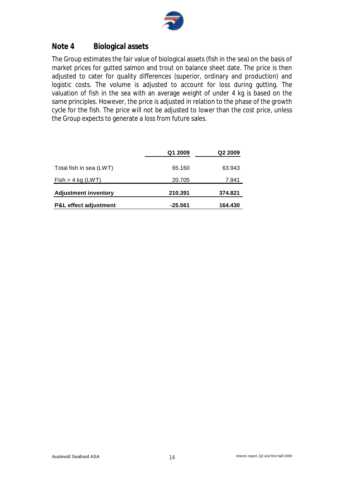

## **Note 4 Biological assets**

The Group estimates the fair value of biological assets (fish in the sea) on the basis of market prices for gutted salmon and trout on balance sheet date. The price is then adjusted to cater for quality differences (superior, ordinary and production) and logistic costs. The volume is adjusted to account for loss during gutting. The valuation of fish in the sea with an average weight of under 4 kg is based on the same principles. However, the price is adjusted in relation to the phase of the growth cycle for the fish. The price will not be adjusted to lower than the cost price, unless the Group expects to generate a loss from future sales.

|                                  | Q1 2009 | Q2 2009 |
|----------------------------------|---------|---------|
| Total fish in sea (LWT)          | 65.160  | 63.943  |
| Fish > 4 kg (LWT)                | 20.705  | 7.941   |
| <b>Adjustment inventory</b>      | 210.391 | 374.821 |
| <b>P&amp;L effect adjustment</b> | -25.561 | 164.430 |